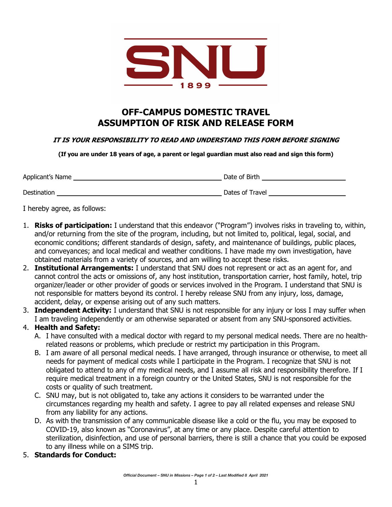

## **OFF-CAMPUS DOMESTIC TRAVEL ASSUMPTION OF RISK AND RELEASE FORM**

## **IT IS YOUR RESPONSIBILITY TO READ AND UNDERSTAND THIS FORM BEFORE SIGNING**

**(If you are under 18 years of age, a parent or legal guardian must also read and sign this form)**

| Applicant's Name | Date of Birth   |
|------------------|-----------------|
| Destination      | Dates of Travel |

I hereby agree, as follows:

- 1. **Risks of participation:** I understand that this endeavor ("Program") involves risks in traveling to, within, and/or returning from the site of the program, including, but not limited to, political, legal, social, and economic conditions; different standards of design, safety, and maintenance of buildings, public places, and conveyances; and local medical and weather conditions. I have made my own investigation, have obtained materials from a variety of sources, and am willing to accept these risks.
- 2. **Institutional Arrangements:** I understand that SNU does not represent or act as an agent for, and cannot control the acts or omissions of, any host institution, transportation carrier, host family, hotel, trip organizer/leader or other provider of goods or services involved in the Program. I understand that SNU is not responsible for matters beyond its control. I hereby release SNU from any injury, loss, damage, accident, delay, or expense arising out of any such matters.
- 3. **Independent Activity:** I understand that SNU is not responsible for any injury or loss I may suffer when I am traveling independently or am otherwise separated or absent from any SNU-sponsored activities.

## 4. **Health and Safety:**

- A. I have consulted with a medical doctor with regard to my personal medical needs. There are no healthrelated reasons or problems, which preclude or restrict my participation in this Program.
- B. I am aware of all personal medical needs. I have arranged, through insurance or otherwise, to meet all needs for payment of medical costs while I participate in the Program. I recognize that SNU is not obligated to attend to any of my medical needs, and I assume all risk and responsibility therefore. If I require medical treatment in a foreign country or the United States, SNU is not responsible for the costs or quality of such treatment.
- C. SNU may, but is not obligated to, take any actions it considers to be warranted under the circumstances regarding my health and safety. I agree to pay all related expenses and release SNU from any liability for any actions.
- D. As with the transmission of any communicable disease like a cold or the flu, you may be exposed to COVID-19, also known as "Coronavirus", at any time or any place. Despite careful attention to sterilization, disinfection, and use of personal barriers, there is still a chance that you could be exposed to any illness while on a SIMS trip.
- 5. **Standards for Conduct:**